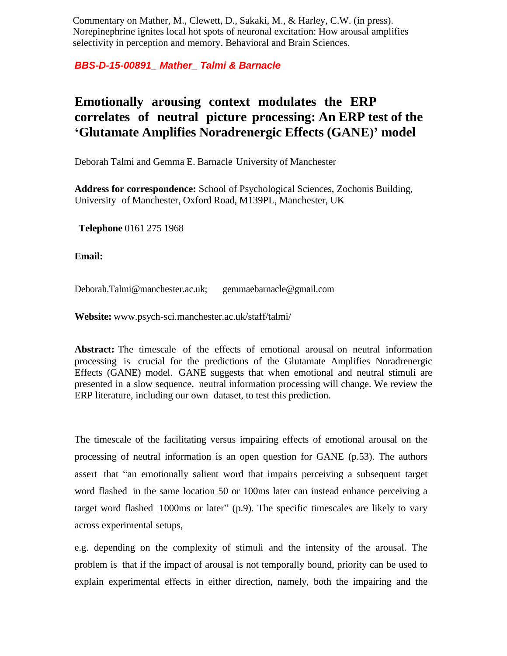Commentary on Mather, M., Clewett, D., Sakaki, M., & Harley, C.W. (in press). Norepinephrine ignites local hot spots of neuronal excitation: How arousal amplifies selectivity in perception and memory. Behavioral and Brain Sciences.

*BBS-D-15-00891\_ Mather\_ Talmi & Barnacle*

## **Emotionally arousing context modulates the ERP correlates of neutral picture processing: An ERP test of the 'Glutamate Amplifies Noradrenergic Effects (GANE)' model**

Deborah Talmi and Gemma E. Barnacle University of Manchester

**Address for correspondence:** School of Psychological Sciences, Zochonis Building, University of Manchester, Oxford Road, M139PL, Manchester, UK

**Telephone** 0161 275 1968

**Email:**

[Deborah.Talmi@manchester.ac.uk;](mailto:Deborah.Talmi@manchester.ac.uk) [gemmaebarnacle@gmail.com](mailto:gemmaebarnacle@gmail.com)

**Website:** [www.psych-sci.manchester.ac.uk/staff/talmi/](http://www.psych-sci.manchester.ac.uk/staff/talmi/)

**Abstract:** The timescale of the effects of emotional arousal on neutral information processing is crucial for the predictions of the Glutamate Amplifies Noradrenergic Effects (GANE) model. GANE suggests that when emotional and neutral stimuli are presented in a slow sequence, neutral information processing will change. We review the ERP literature, including our own dataset, to test this prediction.

The timescale of the facilitating versus impairing effects of emotional arousal on the processing of neutral information is an open question for GANE (p.53). The authors assert that "an emotionally salient word that impairs perceiving a subsequent target word flashed in the same location 50 or 100ms later can instead enhance perceiving a target word flashed 1000ms or later" (p.9). The specific timescales are likely to vary across experimental setups,

e.g. depending on the complexity of stimuli and the intensity of the arousal. The problem is that if the impact of arousal is not temporally bound, priority can be used to explain experimental effects in either direction, namely, both the impairing and the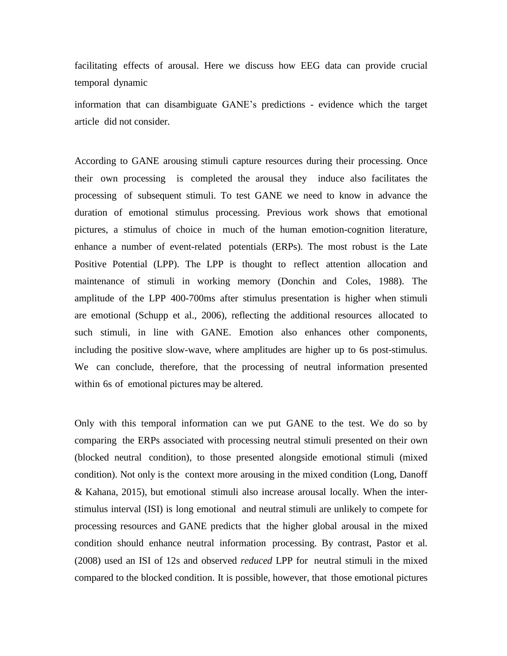facilitating effects of arousal. Here we discuss how EEG data can provide crucial temporal dynamic

information that can disambiguate GANE's predictions - evidence which the target article did not consider.

According to GANE arousing stimuli capture resources during their processing. Once their own processing is completed the arousal they induce also facilitates the processing of subsequent stimuli. To test GANE we need to know in advance the duration of emotional stimulus processing. Previous work shows that emotional pictures, a stimulus of choice in much of the human emotion-cognition literature, enhance a number of event-related potentials (ERPs). The most robust is the Late Positive Potential (LPP). The LPP is thought to reflect attention allocation and maintenance of stimuli in working memory (Donchin and Coles, 1988). The amplitude of the LPP 400-700ms after stimulus presentation is higher when stimuli are emotional (Schupp et al., 2006), reflecting the additional resources allocated to such stimuli, in line with GANE. Emotion also enhances other components, including the positive slow-wave, where amplitudes are higher up to 6s post-stimulus. We can conclude, therefore, that the processing of neutral information presented within 6s of emotional pictures may be altered.

Only with this temporal information can we put GANE to the test. We do so by comparing the ERPs associated with processing neutral stimuli presented on their own (blocked neutral condition), to those presented alongside emotional stimuli (mixed condition). Not only is the context more arousing in the mixed condition (Long, Danoff & Kahana, 2015), but emotional stimuli also increase arousal locally. When the interstimulus interval (ISI) is long emotional and neutral stimuli are unlikely to compete for processing resources and GANE predicts that the higher global arousal in the mixed condition should enhance neutral information processing. By contrast, Pastor et al. (2008) used an ISI of 12s and observed *reduced* LPP for neutral stimuli in the mixed compared to the blocked condition. It is possible, however, that those emotional pictures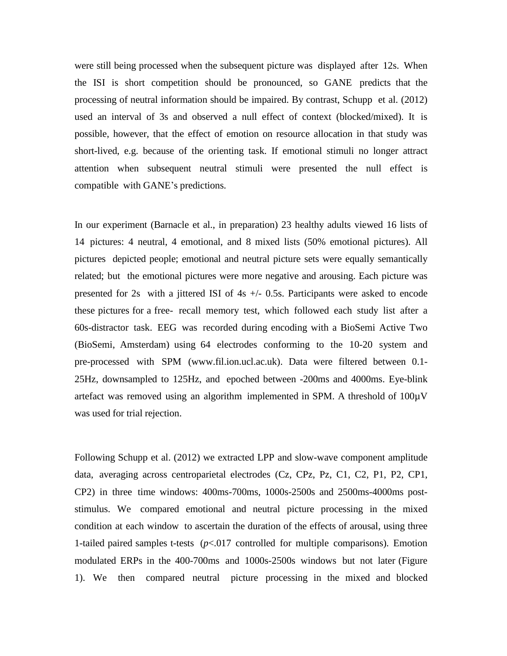were still being processed when the subsequent picture was displayed after 12s. When the ISI is short competition should be pronounced, so GANE predicts that the processing of neutral information should be impaired. By contrast, Schupp et al. (2012) used an interval of 3s and observed a null effect of context (blocked/mixed). It is possible, however, that the effect of emotion on resource allocation in that study was short-lived, e.g. because of the orienting task. If emotional stimuli no longer attract attention when subsequent neutral stimuli were presented the null effect is compatible with GANE's predictions.

In our experiment (Barnacle et al., in preparation) 23 healthy adults viewed 16 lists of 14 pictures: 4 neutral, 4 emotional, and 8 mixed lists (50% emotional pictures). All pictures depicted people; emotional and neutral picture sets were equally semantically related; but the emotional pictures were more negative and arousing. Each picture was presented for 2s with a jittered ISI of 4s +/- 0.5s. Participants were asked to encode these pictures for a free- recall memory test, which followed each study list after a 60s-distractor task. EEG was recorded during encoding with a BioSemi Active Two (BioSemi, Amsterdam) using 64 electrodes conforming to the 10-20 system and pre-processed with SPM (www.fil.ion.ucl.ac.uk). Data were filtered between 0.1- 25Hz, downsampled to 125Hz, and epoched between -200ms and 4000ms. Eye-blink artefact was removed using an algorithm implemented in SPM. A threshold of 100µV was used for trial rejection.

Following Schupp et al. (2012) we extracted LPP and slow-wave component amplitude data, averaging across centroparietal electrodes (Cz, CPz, Pz, C1, C2, P1, P2, CP1, CP2) in three time windows: 400ms-700ms, 1000s-2500s and 2500ms-4000ms poststimulus. We compared emotional and neutral picture processing in the mixed condition at each window to ascertain the duration of the effects of arousal, using three 1-tailed paired samples t-tests  $(p<0.017$  controlled for multiple comparisons). Emotion modulated ERPs in the 400-700ms and 1000s-2500s windows but not later (Figure 1). We then compared neutral picture processing in the mixed and blocked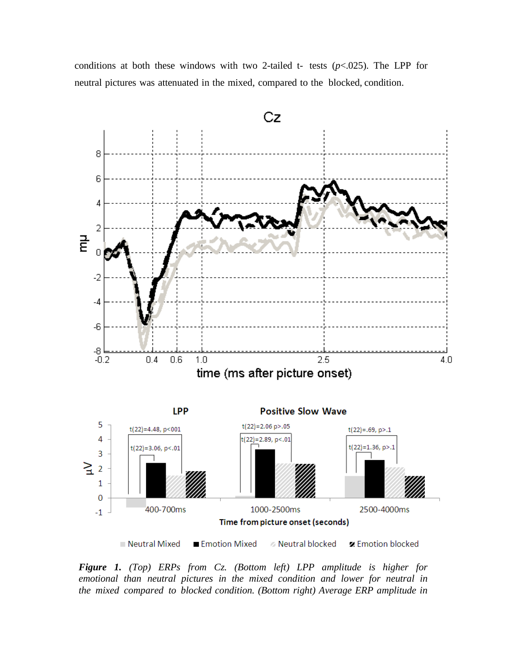conditions at both these windows with two 2-tailed t- tests  $(p<.025)$ . The LPP for neutral pictures was attenuated in the mixed, compared to the blocked, condition.



*Figure 1. (Top) ERPs from Cz. (Bottom left) LPP amplitude is higher for emotional than neutral pictures in the mixed condition and lower for neutral in the mixed compared to blocked condition. (Bottom right) Average ERP amplitude in*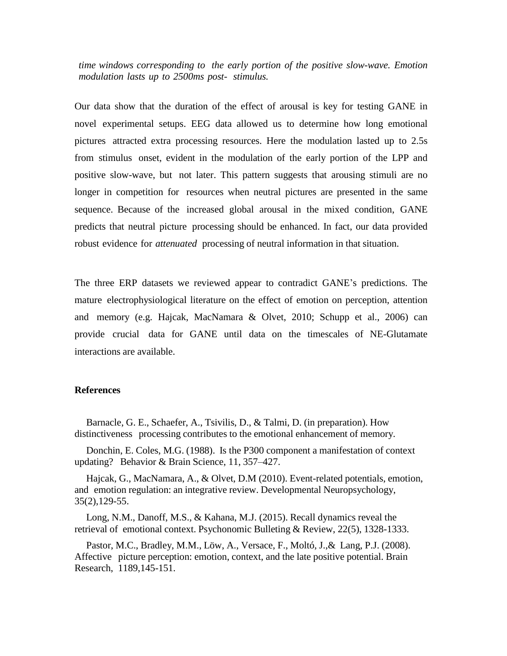*time windows corresponding to the early portion of the positive slow-wave. Emotion modulation lasts up to 2500ms post- stimulus.*

Our data show that the duration of the effect of arousal is key for testing GANE in novel experimental setups. EEG data allowed us to determine how long emotional pictures attracted extra processing resources. Here the modulation lasted up to 2.5s from stimulus onset, evident in the modulation of the early portion of the LPP and positive slow-wave, but not later. This pattern suggests that arousing stimuli are no longer in competition for resources when neutral pictures are presented in the same sequence. Because of the increased global arousal in the mixed condition, GANE predicts that neutral picture processing should be enhanced. In fact, our data provided robust evidence for *attenuated* processing of neutral information in that situation.

The three ERP datasets we reviewed appear to contradict GANE's predictions. The mature electrophysiological literature on the effect of emotion on perception, attention and memory (e.g. Hajcak, MacNamara & Olvet, 2010; Schupp et al., 2006) can provide crucial data for GANE until data on the timescales of NE-Glutamate interactions are available.

## **References**

Barnacle, G. E., Schaefer, A., Tsivilis, D., & Talmi, D. (in preparation). How distinctiveness processing contributes to the emotional enhancement of memory.

Donchin, E. Coles, M.G. (1988). Is the P300 component a manifestation of context updating? Behavior & Brain Science, 11, 357–427.

Hajcak, G., MacNamara, A., & Olvet, D.M (2010). Event-related potentials, emotion, and emotion regulation: an integrative review. Developmental Neuropsychology, 35(2),129-55.

Long, N.M., Danoff, M.S., & Kahana, M.J. (2015). Recall dynamics reveal the retrieval of emotional context. Psychonomic Bulleting & Review, 22(5), 1328-1333.

Pastor, M.C., Bradley, M.M., Löw, A., Versace, F., Moltó, J.,& Lang, P.J. (2008). Affective picture perception: emotion, context, and the late positive potential. Brain Research, 1189,145-151.